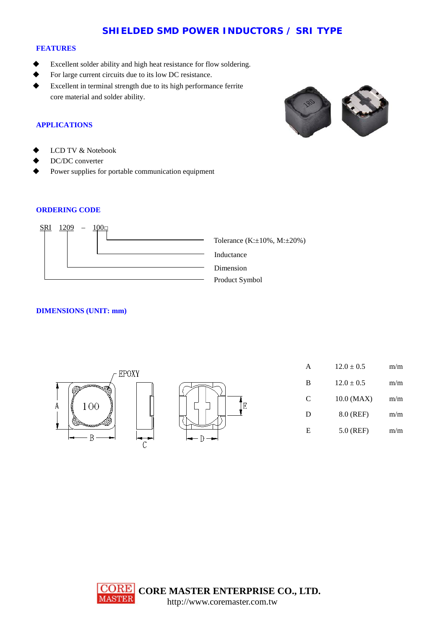# **SHIELDED SMD POWER INDUCTORS / SRI TYPE**

#### **FEATURES**

- Excellent solder ability and high heat resistance for flow soldering.
- For large current circuits due to its low DC resistance.
- Excellent in terminal strength due to its high performance ferrite core material and solder ability.





- LCD TV & Notebook
- DC/DC converter
- Power supplies for portable communication equipment

## **ORDERING CODE**



### **DIMENSIONS (UNIT: mm)**